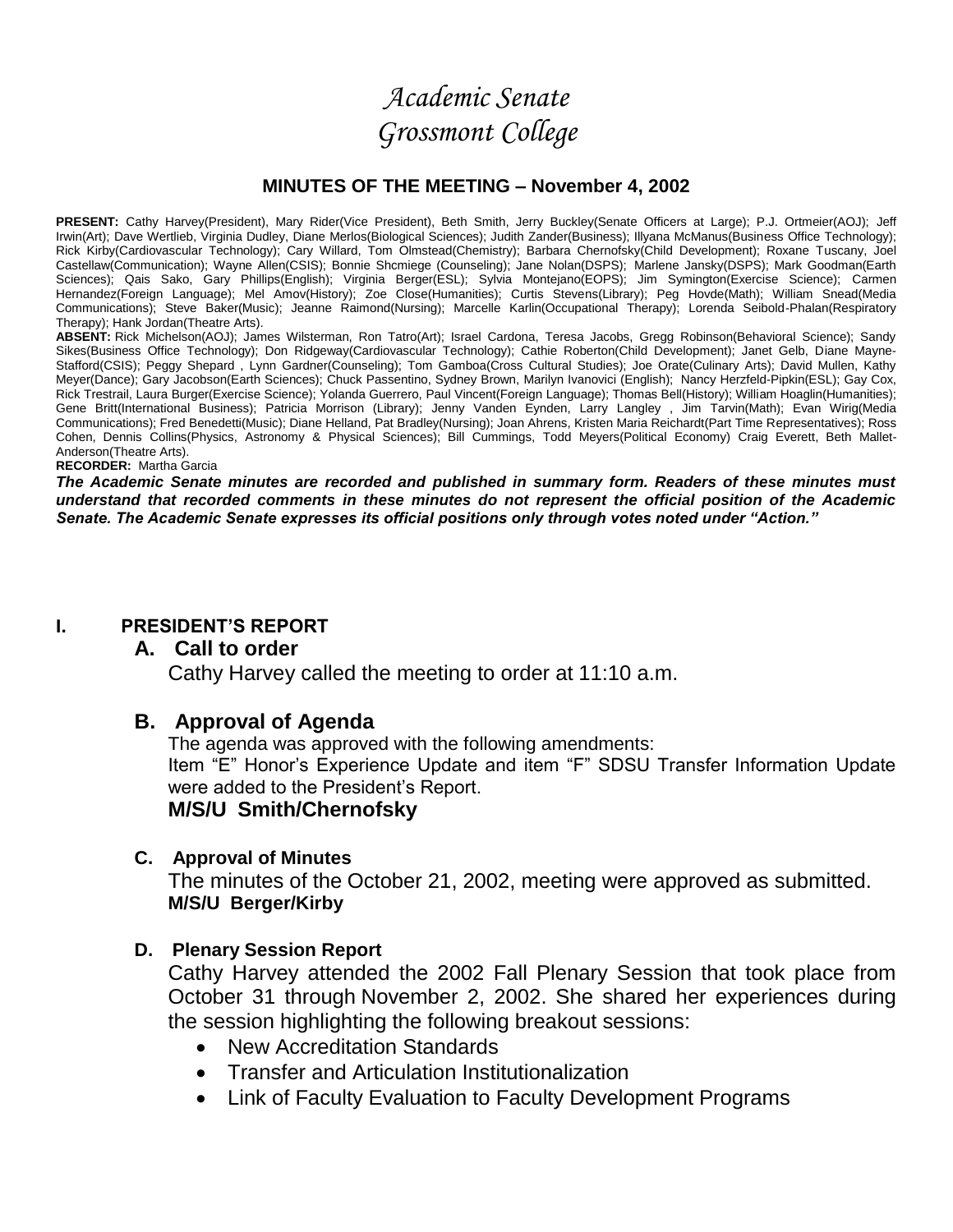# *Academic Senate Grossmont College*

#### **MINUTES OF THE MEETING – November 4, 2002**

PRESENT: Cathy Harvey(President), Mary Rider(Vice President), Beth Smith, Jerry Buckley(Senate Officers at Large); P.J. Ortmeier(AOJ); Jeff Irwin(Art); Dave Wertlieb, Virginia Dudley, Diane Merlos(Biological Sciences); Judith Zander(Business); Illyana McManus(Business Office Technology); Rick Kirby(Cardiovascular Technology); Cary Willard, Tom Olmstead(Chemistry); Barbara Chernofsky(Child Development); Roxane Tuscany, Joel Castellaw(Communication); Wayne Allen(CSIS); Bonnie Shcmiege (Counseling); Jane Nolan(DSPS); Marlene Jansky(DSPS); Mark Goodman(Earth Sciences); Qais Sako, Gary Phillips(English); Virginia Berger(ESL); Sylvia Montejano(EOPS); Jim Symington(Exercise Science); Carmen Hernandez(Foreign Language); Mel Amov(History); Zoe Close(Humanities); Curtis Stevens(Library); Peg Hovde(Math); William Snead(Media Communications); Steve Baker(Music); Jeanne Raimond(Nursing); Marcelle Karlin(Occupational Therapy); Lorenda Seibold-Phalan(Respiratory Therapy); Hank Jordan(Theatre Arts).

**ABSENT:** Rick Michelson(AOJ); James Wilsterman, Ron Tatro(Art); Israel Cardona, Teresa Jacobs, Gregg Robinson(Behavioral Science); Sandy Sikes(Business Office Technology); Don Ridgeway(Cardiovascular Technology); Cathie Roberton(Child Development); Janet Gelb, Diane Mayne-Stafford(CSIS); Peggy Shepard , Lynn Gardner(Counseling); Tom Gamboa(Cross Cultural Studies); Joe Orate(Culinary Arts); David Mullen, Kathy Meyer(Dance); Gary Jacobson(Earth Sciences); Chuck Passentino, Sydney Brown, Marilyn Ivanovici (English); Nancy Herzfeld-Pipkin(ESL); Gay Cox, Rick Trestrail, Laura Burger(Exercise Science); Yolanda Guerrero, Paul Vincent(Foreign Language); Thomas Bell(History); William Hoaglin(Humanities); Gene Britt(International Business); Patricia Morrison (Library); Jenny Vanden Eynden, Larry Langley , Jim Tarvin(Math); Evan Wirig(Media Communications); Fred Benedetti(Music); Diane Helland, Pat Bradley(Nursing); Joan Ahrens, Kristen Maria Reichardt(Part Time Representatives); Ross Cohen, Dennis Collins(Physics, Astronomy & Physical Sciences); Bill Cummings, Todd Meyers(Political Economy) Craig Everett, Beth Mallet-Anderson(Theatre Arts).

#### **RECORDER:** Martha Garcia

*The Academic Senate minutes are recorded and published in summary form. Readers of these minutes must understand that recorded comments in these minutes do not represent the official position of the Academic Senate. The Academic Senate expresses its official positions only through votes noted under "Action."*

#### **I. PRESIDENT'S REPORT**

#### **A. Call to order**

Cathy Harvey called the meeting to order at 11:10 a.m.

#### **B. Approval of Agenda**

The agenda was approved with the following amendments:

Item "E" Honor's Experience Update and item "F" SDSU Transfer Information Update were added to the President's Report.

#### **M/S/U Smith/Chernofsky**

#### **C. Approval of Minutes**

The minutes of the October 21, 2002, meeting were approved as submitted. **M/S/U Berger/Kirby**

#### **D. Plenary Session Report**

Cathy Harvey attended the 2002 Fall Plenary Session that took place from October 31 through November 2, 2002. She shared her experiences during the session highlighting the following breakout sessions:

- New Accreditation Standards
- Transfer and Articulation Institutionalization
- Link of Faculty Evaluation to Faculty Development Programs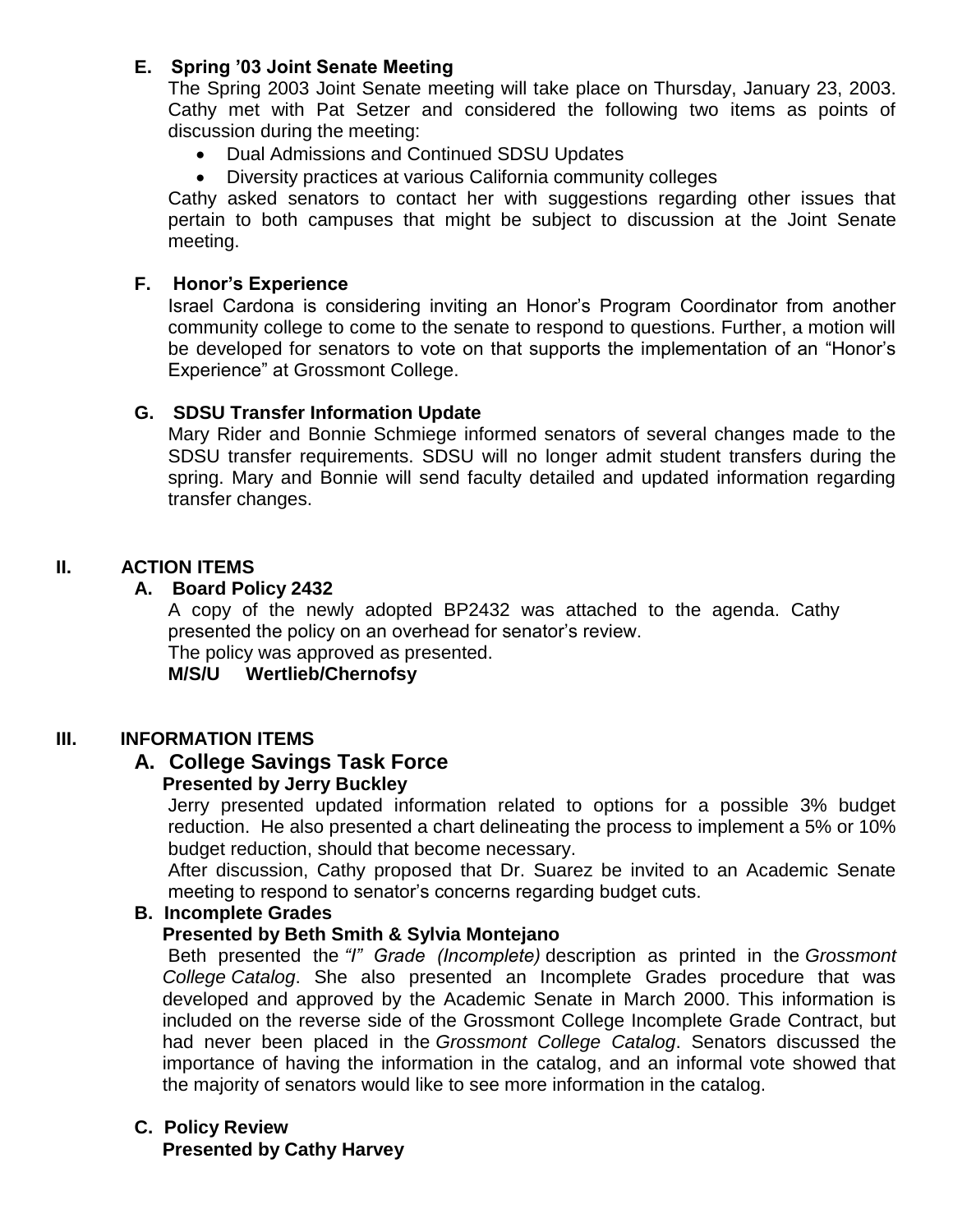## **E. Spring '03 Joint Senate Meeting**

The Spring 2003 Joint Senate meeting will take place on Thursday, January 23, 2003. Cathy met with Pat Setzer and considered the following two items as points of discussion during the meeting:

- Dual Admissions and Continued SDSU Updates
- Diversity practices at various California community colleges

Cathy asked senators to contact her with suggestions regarding other issues that pertain to both campuses that might be subject to discussion at the Joint Senate meeting.

#### **F. Honor's Experience**

Israel Cardona is considering inviting an Honor's Program Coordinator from another community college to come to the senate to respond to questions. Further, a motion will be developed for senators to vote on that supports the implementation of an "Honor's Experience" at Grossmont College.

## **G. SDSU Transfer Information Update**

Mary Rider and Bonnie Schmiege informed senators of several changes made to the SDSU transfer requirements. SDSU will no longer admit student transfers during the spring. Mary and Bonnie will send faculty detailed and updated information regarding transfer changes.

## **II. ACTION ITEMS**

## **A. Board Policy 2432**

A copy of the newly adopted BP2432 was attached to the agenda. Cathy presented the policy on an overhead for senator's review.

The policy was approved as presented.

#### **M/S/U Wertlieb/Chernofsy**

#### **III. INFORMATION ITEMS**

## **A. College Savings Task Force**

#### **Presented by Jerry Buckley**

Jerry presented updated information related to options for a possible 3% budget reduction. He also presented a chart delineating the process to implement a 5% or 10% budget reduction, should that become necessary.

After discussion, Cathy proposed that Dr. Suarez be invited to an Academic Senate meeting to respond to senator's concerns regarding budget cuts.

#### **B. Incomplete Grades**

#### **Presented by Beth Smith & Sylvia Montejano**

Beth presented the *"I" Grade (Incomplete)* description as printed in the *Grossmont College Catalog*. She also presented an Incomplete Grades procedure that was developed and approved by the Academic Senate in March 2000. This information is included on the reverse side of the Grossmont College Incomplete Grade Contract, but had never been placed in the *Grossmont College Catalog*. Senators discussed the importance of having the information in the catalog, and an informal vote showed that the majority of senators would like to see more information in the catalog.

## **C. Policy Review**

**Presented by Cathy Harvey**